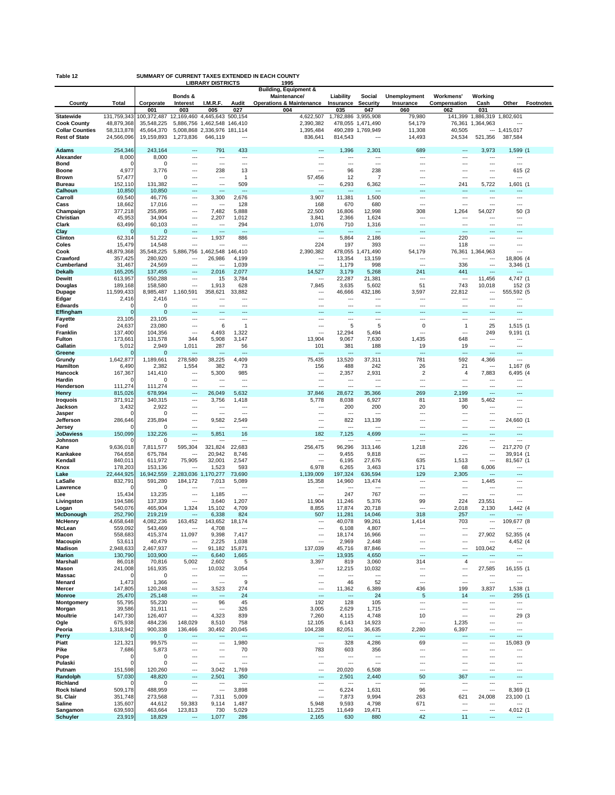| Table 12                    |                   |                     |                 |                          |                                     | SUMMARY OF CURRENT TAXES EXTENDED IN EACH COUNTY         |                                 |                                   |                     |                       |               |                                      |                  |
|-----------------------------|-------------------|---------------------|-----------------|--------------------------|-------------------------------------|----------------------------------------------------------|---------------------------------|-----------------------------------|---------------------|-----------------------|---------------|--------------------------------------|------------------|
|                             |                   |                     | Bonds &         | <b>LIBRARY DISTRICTS</b> |                                     | 1995<br><b>Building, Equipment &amp;</b><br>Maintenance/ | Liability                       | Social                            | <b>Unemployment</b> | Workmens'             | Working       |                                      |                  |
| County                      | Total             | Corporate<br>001    | Interest<br>003 | I.M.R.F.<br>005          | Audit<br>027                        | <b>Operations &amp; Maintenance</b><br>004               | Insurance<br>035                | Security<br>047                   | Insurance<br>060    | Compensation<br>062   | Cash<br>031   | Other                                | <b>Footnotes</b> |
| <b>Statewide</b>            | 131,759,343       | 100,372,487         | 12,169,460      | 4,445,643                | 500,154                             | 4,622,507                                                |                                 | 1,782,886 3,955,908               | 79,980              | 141,399               | 1,886,319     | 1,802,601                            |                  |
| <b>Cook County</b>          | 48,879,368        | 35,548,225          |                 | 5,886,756 1,462,548      | 146,410                             | 2,390,382                                                |                                 | 478,055 1,471,490                 | 54,179              | 76,361                | 1,364,963     | ---                                  |                  |
| <b>Collar Counties</b>      | 58,313,878        | 45,664,370          |                 | 5,008,868 2,336,976      | 181,114                             | 1,395,484                                                | 490,289                         | 1,769,949                         | 11,308              | 40,505                |               | $- - 1,415,017$                      |                  |
| <b>Rest of State</b>        | 24,566,096        | 19,159,893          | 1,273,836       | 646,119                  | $\sim$                              | 836,641                                                  | 814,543                         | $\ddotsc$                         | 14,493              | 24,534                | 521,356       | 387,584                              |                  |
|                             |                   |                     |                 |                          |                                     |                                                          |                                 |                                   |                     |                       |               |                                      |                  |
| Adams<br>Alexander          | 254,346<br>8,000  | 243,164<br>8,000    | <br>            | 791<br>---               | 433<br>---                          | ---<br>---                                               | 1,396<br>                       | 2,301<br>---                      | 689<br>---          | ---<br>---            | 3,973<br>…    | 1,599 (1<br>$\overline{\phantom{a}}$ |                  |
| Bond                        | c                 | $\Omega$            | ---             | ---                      | $\sim$                              | $\sim$                                                   | ---                             | $---$                             | ---                 | ---                   | ---           | $\overline{a}$                       |                  |
| <b>Boone</b>                | 4,977             | 3,776               | ⊷               | 238                      | 13                                  |                                                          | 96                              | 238                               | ---                 | ---                   |               | 615 (2                               |                  |
| <b>Brown</b>                | 57,477            | $\Omega$            |                 | ---                      | 1                                   | 57,456                                                   | 12                              | 7                                 | Щ.                  | ---                   |               |                                      |                  |
| <b>Bureau</b>               | 152,110           | 131,382             |                 | ---                      | 509                                 | $\overline{\phantom{a}}$                                 | 6,293                           | 6,362                             |                     | 241                   | 5,722         | 1,601 (1                             |                  |
| Calhoun                     | 10,850            | 10,850              |                 | ---                      | ---                                 | $\overline{\phantom{a}}$                                 | ---                             | $\overline{\phantom{a}}$          | $---$               | ---                   | ---           | $\cdots$                             |                  |
| Carroll                     | 69,540            | 46,776              |                 | 3,300                    | 2,676                               | 3,907                                                    | 11,381                          | 1,500                             | ---                 | ---                   | ---           | ---                                  |                  |
| Cass                        | 18,662            | 17,016              | ---<br>---      | ---                      | 128                                 | 168                                                      | 670                             | 680                               | Щ.                  | ---                   |               | ---                                  |                  |
| Champaign<br>Christian      | 377,218<br>45,953 | 255,895<br>34,904   |                 | 7,482<br>2,207           | 5,888<br>1,012                      | 22,500<br>3,841                                          | 16,806<br>2,366                 | 12,998<br>1,624                   | 308<br>---          | 1,264<br>---          | 54,027<br>--- | 50<br>$\cdots$                       | (3)              |
| Clark                       | 63,499            | 60,103              |                 | ---                      | 294                                 | 1,076                                                    | 710                             | 1,316                             | ---                 | ---                   |               | ---                                  |                  |
| Clay                        | $\Omega$          | $\Omega$            |                 | ---                      | $\sim$                              | $---$                                                    | ---                             | ---                               | ---                 | ---                   |               | $---$                                |                  |
| Clinton                     | 62,314            | 51,222              | ---             | 1,937                    | 886                                 | $\overline{\phantom{a}}$                                 | 5,864                           | 2,186                             |                     | 220                   | ---           | $\sim$                               |                  |
| Coles                       | 15,479            | 14,548              |                 | ---                      | ---                                 | 224                                                      | 197                             | 393                               |                     | 118                   | ---           | $---$                                |                  |
| Cook                        | 48,879,368        | 35,548,225          | 5,886,756 1     | ,462,548                 | 146,410                             | 2,390,382                                                | 478,055                         | 1,471,490                         | 54,179              | 76,361                | 1,364,963     |                                      |                  |
| Crawford                    | 357,425           | 280,920             | ---             | 26,986                   | 4,199                               | ---                                                      | 13,354                          | 13,159                            | ---                 | $--$                  | ---           | 18,806 (4                            |                  |
| Cumberland<br>Dekalb        | 31,467<br>165,205 | 24,569<br>137,455   | ---<br>---      | ---<br>2,016             | 1,039<br>2,077                      | $\sim$<br>14,527                                         | 1,179<br>3,179                  | 998<br>5,268                      | $\sim$<br>241       | 336<br>441            | ---<br>---    | 3,346 (1<br>---                      |                  |
| <b>Dewitt</b>               | 613,957           | 550,288             | ---             | 15                       | 3,784                               | $---$                                                    | 22,287                          | 21,381                            | ---                 | $\ddotsc$             | 11,456        | 4,747 (1                             |                  |
| Douglas                     | 189,168           | 158,580             |                 | 1,913                    | 628                                 | 7,845                                                    | 3,635                           | 5,602                             | 51                  | 743                   | 10,018        | 152 (3                               |                  |
| Dupage                      | 11,599,433        | 8,985,487           | 1,160,591       | 358,621                  | 33,882                              | $\sim$                                                   | 46,666                          | 432,186                           | 3,597               | 22,812                | ---           | 555,592 (5                           |                  |
| Edgar                       | 2,416             | 2,416               | ---             | ---                      | ---                                 | ---                                                      | ---                             |                                   | ---                 | ---                   | ---           | ---                                  |                  |
| Edwards                     | c                 | 0                   | ---             | ---                      | $\sim$                              | $\ddotsc$                                                | ---                             | $\ddotsc$                         | ---                 | ---                   | ---           | $\sim$                               |                  |
| Effingham                   | $\Omega$          | $\Omega$            | Ξ.              |                          | ш,                                  |                                                          |                                 | ш,                                | Ξ.                  |                       |               |                                      |                  |
| Fayette                     | 23,105            | 23,105              | ---             | ---                      | $\sim$<br>1                         | $---$                                                    | ---                             | $\sim$                            | ---                 | ---<br>$\overline{1}$ | $\cdots$      | $---$                                |                  |
| Ford<br>Franklin            | 24,637<br>137,400 | 23,080<br>104,356   | <br>---         | 6<br>4,493               | 1,322                               | $\ddotsc$<br>$\sim$                                      | 5<br>12,294                     | 5<br>5,494                        | 0<br>---            | ---                   | 25<br>249     | 1,515 (1<br>9,191 (1                 |                  |
| Fulton                      | 173,661           | 131.578             | 344             | 5,908                    | 3,147                               | 13,904                                                   | 9,067                           | 7,630                             | 1,435               | 648                   |               |                                      |                  |
| Gallatin                    | 5,012             | 2,949               | 1,011           | 287                      | 56                                  | 101                                                      | 381                             | 188                               | 19                  | 19                    |               | $\sim$                               |                  |
| Greene                      | $\Omega$          | 0                   |                 |                          | ---                                 | $\overline{\phantom{a}}$                                 | ---                             | ---                               | ---                 | ---                   |               | Щ.                                   |                  |
| Grundy                      | 1,642,877         | 1,189,661           | 278,580         | 38,225                   | 4,409                               | 75,435                                                   | 13,520                          | 37,311                            | 781                 | 592                   | 4,366         | $---$                                |                  |
| Hamilton                    | 6,490             | 2,382               | 1,554           | 382                      | 73                                  | 156                                                      | 488                             | 242                               | 26                  | 21                    |               | 1,167 (6                             |                  |
| Hancock                     | 167,367           | 141,410             | ---             | 5,300                    | 985                                 | ---                                                      | 2,357                           | 2,931                             | $\overline{2}$      | 4                     | 7,883         | 6,495 (4                             |                  |
| Hardin<br>Henderson         | C<br>111,274      | 0<br>111,274        | <br>            | ---                      | $\overline{\phantom{a}}$<br>---     | ---<br>$\sim$                                            | ---<br>---                      | ---<br>---                        | ---<br>             | <br>$\sim$            | <br>---       | ---<br>$---$                         |                  |
| Henry                       | 815,026           | 678,994             | …               | 26,049                   | 5,632                               | 37,846                                                   | 28,672                          | 35,366                            | 269                 | 2,199                 |               | $\sim$                               |                  |
| <b>Iroquois</b>             | 371,912           | 340,315             |                 | 3,756                    | 1,418                               | 5,778                                                    | 8,038                           | 6,927                             | 81                  | 138                   | 5,462         | $---$                                |                  |
| Jackson                     | 3,432             | 2,922               |                 |                          | ---                                 | ---                                                      | 200                             | 200                               | 20                  | 90                    | ---           | ---                                  |                  |
| Jasper                      | C                 | 0                   | ---             | ---                      | ---                                 | ---                                                      | ---                             | ---                               | ---                 | ---                   | ---           | $---$                                |                  |
| Jefferson                   | 286,646           | 235,894             |                 | 9,582                    | 2,549                               | $\sim$                                                   | 822                             | 13,139                            | $\sim$              | ---                   |               | 24,660 (1                            |                  |
| Jersey                      | ſ                 | $\Omega$            |                 | ---                      | $\sim$                              | ---                                                      | ---                             | ---                               | ---                 | ---                   | ---           | $---$                                |                  |
| <b>JoDaviess</b><br>Johnson | 150,099           | 132,226<br>$\Omega$ | …<br>           | 5,851<br>---             | 16<br>---                           | 182<br>$\overline{\phantom{a}}$                          | 7,125<br>---                    | 4,699<br>$\overline{\phantom{a}}$ | ---<br>---          | <br>---               | ---<br>---    | $\overline{a}$<br>---                |                  |
| Kane                        | 9,636,018         | 7,811,577           | 595,304         | 321,824                  | 22,683                              | 256,475                                                  | 96,296                          | 313,146                           | 1,218               | 226                   | ---           | 217,270 (7                           |                  |
| Kankakee                    | 764,658           | 675,784             |                 | 20,942                   | 8,746                               |                                                          | 9,455                           | 9,818                             |                     | $\overline{a}$        |               | 39,914 (1                            |                  |
| Kendall                     | 840,011           | 611,972             | 75,905          | 32,001                   | 2,547                               | $\sim$                                                   | 6,195                           | 27,676                            | 635                 | 1,513                 |               | 81,567 (1                            |                  |
| Knox                        | 178,203           | 153,136             |                 | 1,523                    | 593                                 | 6,978                                                    | 6,265                           | 3,463                             | 171                 | 68                    | 6,006         | ---                                  |                  |
| Lake                        | 22,444,925        | 16,942,559          | 2,283,036 1     | ,170,277                 | 73,690                              | 1,139,009                                                | 197,324                         | 636,594                           | 129                 | 2,305                 |               | $- - -$                              |                  |
| LaSalle                     | 832,791           | 591,280             | 184.172         | 7,013                    | 5,089                               | 15,358                                                   | 14,960                          | 13,474                            | ---                 | ---                   | 1,445         |                                      |                  |
| Lawrence<br>Lee             | ſ<br>15,434       | $\Omega$<br>13,235  | ---<br>---      | ---<br>1,185             | $- - -$<br>$\overline{\phantom{a}}$ | $---$<br>---                                             | $\overline{\phantom{a}}$<br>247 | ---<br>767                        | ---<br>---          | ---<br>---            | ---<br>       | ---<br>---                           |                  |
| Livingston                  | 194,586           | 137,339             | $\overline{a}$  | 3,640                    | 1,207                               | 11,904                                                   | 11,246                          | 5,376                             | 99                  | 224                   | 23,551        | $\overline{a}$                       |                  |
| Logan                       | 540,076           | 465,904             | 1,324           | 15,102                   | 4,709                               | 8,855                                                    | 17,874                          | 20,718                            | ÷÷                  | 2,018                 | 2,130         | 1,442 (4                             |                  |
| McDonough                   | 252,790           | 219,219             | ---             | 6,338                    | 824                                 | 507                                                      | 11,281                          | 14,046                            | 318                 | 257                   |               |                                      |                  |
| McHenry                     | 4,658,648         | 4,082,236           | 163,452         | 43,652                   | 18,174                              |                                                          | 40,078                          | 99,261                            | 414                 | 703                   |               | 109,677 (8                           |                  |
| McLean                      | 559,092           | 543,469             | ---             | 4,708                    | $\overline{\phantom{a}}$            | $\cdots$                                                 | 6,108                           | 4,807                             |                     | ---                   | ---           | $\ldots$                             |                  |
| Macon<br>Macoupin           | 558,683<br>53,611 | 415,374<br>40,479   | 11,097<br>---   | 9,398<br>2,225           | 7,417<br>1,038                      | ---<br>---                                               | 18,174<br>2,969                 | 16,966<br>2,448                   | ---<br>---          | <br>---               | 27,902<br>--- | 52,355 (4<br>4,452 (4                |                  |
| Madison                     | 2,948,633         | 2,467,937           |                 | 91,182                   | 15,871                              | 137,039                                                  | 45,716                          | 87,846                            | ---                 |                       | 103,042       | ---                                  |                  |
| <b>Marion</b>               | 130,790           | 103,900             | …               | 6,640                    | 1,665                               | $\overline{\phantom{a}}$                                 | 13,935                          | 4,650                             |                     | ---                   | ---           | $\ldots$                             |                  |
| <b>Marshall</b>             | 86,018            | 70,816              | 5,002           | 2,602                    | 5                                   | 3,397                                                    | 819                             | 3,060                             | 314                 | 4                     | ---           | ---                                  |                  |
| Mason                       | 241,008           | 161,935             | ---             | 10,032                   | 3,054                               | $---$                                                    | 12,215                          | 10,032                            | ---                 | ---                   | 27,585        | 16,155 (1                            |                  |
| Massac                      | C                 | 0                   |                 |                          | $\overline{\phantom{a}}$            | ---                                                      |                                 | ---                               |                     |                       |               | ---                                  |                  |
| Menard                      | 1,473             | 1,366               | ---             | ---                      | 9                                   | $\overline{\phantom{a}}$                                 | 46                              | 52                                |                     | $\overline{a}$        | ---           | $\sim$                               |                  |
| Mercer                      | 147,805           | 120,248             | ---             | 3,523                    | 274                                 | $\overline{\phantom{a}}$                                 | 11,362                          | 6,389                             | 436                 | 199                   | 3,837         | 1,538 (1                             |                  |
| <b>Monroe</b><br>Montgomery | 25,470<br>55,795  | 25,148<br>55,230    | …<br>$\cdots$   | ---<br>96                | 24<br>45                            | $\overline{\phantom{a}}$<br>192                          | <br>128                         | 24<br>105                         | 5<br>---            | 14<br>$\cdots$        | ---<br>---    | 255 (1<br>---                        |                  |
| Morgan                      | 39,586            | 31,911              | ---             | ---                      | 326                                 | 3,005                                                    | 2,629                           | 1,715                             | ---                 | ---                   | …             | $\ldots$                             |                  |
| <b>Moultrie</b>             | 147,730           | 126,407             |                 | 4,323                    | 839                                 | 7,260                                                    | 4,115                           | 4,748                             | 10                  | $\sim$                | ---           | 29 (3                                |                  |
| Ogle                        | 675,938           | 484,236             | 148,029         | 8,510                    | 758                                 | 12,105                                                   | 6,143                           | 14,923                            | ---                 | 1,235                 | ---           | $\overline{\phantom{a}}$             |                  |
| Peoria                      | 1,318,942         | 900,338             | 136,466         | 30,492                   | 20,045                              | 104,238                                                  | 82,051                          | 36,635                            | 2,280               | 6,397                 | ---           | $\overline{a}$                       |                  |
| Perry                       | $\Omega$          | $\mathbf 0$         | …               | ---                      | $\overline{\phantom{a}}$            | $\overline{\phantom{a}}$                                 | Щ.                              | Щ.                                | Щ.                  | ---                   |               | $\overline{a}$                       |                  |
| Piatt                       | 121,321           | 99,575              |                 |                          | 1,980                               | $\cdots$                                                 | 328                             | 4,286                             | 69                  | ---                   | ---           | 15,083 (9                            |                  |
| Pike                        | 7,686             | 5,873               |                 | ---                      | 70                                  | 783                                                      | 603                             | 356                               | ---                 |                       | ---           | ---                                  |                  |
| Pope<br>Pulaski             | 0<br>0            | 0<br>$\Omega$       | ---<br>…        | ---<br>---               | $\ddotsc$<br>---                    | $\cdots$<br>$\overline{\phantom{a}}$                     | $\cdots$<br>---                 | $\sim$<br>$\cdots$                | ---<br>---          | ---<br>---            | ---<br>       | $\sim$<br>---                        |                  |
| Putnam                      | 151,598           | 120,260             |                 | 3,042                    | 1,769                               | $---$                                                    | 20,020                          | 6,508                             | $\overline{a}$      | $\sim$                | ---           | $\sim$                               |                  |
| Randolph                    | 57,030            | 48,820              |                 | 2,501                    | 350                                 | щ.                                                       | 2,501                           | 2,440                             | 50                  | 367                   |               |                                      |                  |
| Richland                    | 0                 | $\Omega$            | ---             | ---                      | $---$                               | $\cdots$                                                 | ---                             | $---$                             | ---                 | $\cdots$              |               | $---$                                |                  |
| <b>Rock Island</b>          | 509,178           | 488,959             |                 |                          | 3,898                               | $\ldots$                                                 | 6,224                           | 1,631                             | 96                  | ---                   |               | 8,369 (1                             |                  |
| St. Clair                   | 351,748           | 273,568             | …               | 7,311                    | 5,009                               | $\overline{\phantom{a}}$                                 | 7,873                           | 9,994                             | 263                 | 621                   | 24,008        | 23,100 (1                            |                  |
| Saline                      | 135,607           | 44,612              | 59,383          | 9,114                    | 1,487                               | 5,948                                                    | 9,593                           | 4,798                             | 671                 |                       |               |                                      |                  |
| Sangamon<br>Schuyler        | 639,593<br>23,919 | 463,664<br>18,829   | 123,813<br>---  | 730<br>1,077             | 5,029<br>286                        | 11,225<br>2,165                                          | 11,649<br>630                   | 19,471<br>880                     | ---<br>42           | ---<br>11             | …             | 4,012 (1<br>$\overline{\phantom{a}}$ |                  |